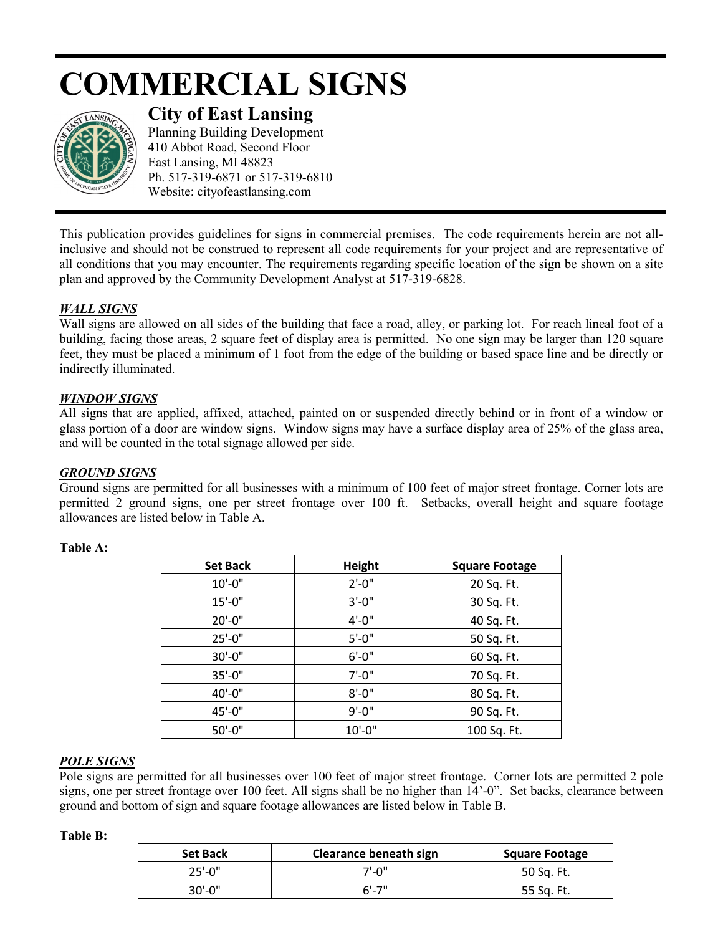# **COMMERCIAL SIGNS**



# **City of East Lansing**

Planning Building Development 410 Abbot Road, Second Floor East Lansing, MI 48823 Ph. 517-319-6871 or 517-319-6810 Website: cityofeastlansing.com

This publication provides guidelines for signs in commercial premises. The code requirements herein are not allinclusive and should not be construed to represent all code requirements for your project and are representative of all conditions that you may encounter. The requirements regarding specific location of the sign be shown on a site plan and approved by the Community Development Analyst at 517-319-6828.

# *WALL SIGNS*

Wall signs are allowed on all sides of the building that face a road, alley, or parking lot. For reach lineal foot of a building, facing those areas, 2 square feet of display area is permitted. No one sign may be larger than 120 square feet, they must be placed a minimum of 1 foot from the edge of the building or based space line and be directly or indirectly illuminated.

# *WINDOW SIGNS*

All signs that are applied, affixed, attached, painted on or suspended directly behind or in front of a window or glass portion of a door are window signs. Window signs may have a surface display area of 25% of the glass area, and will be counted in the total signage allowed per side.

# *GROUND SIGNS*

Ground signs are permitted for all businesses with a minimum of 100 feet of major street frontage. Corner lots are permitted 2 ground signs, one per street frontage over 100 ft. Setbacks, overall height and square footage allowances are listed below in Table A.

| <b>Set Back</b> | Height     | <b>Square Footage</b> |
|-----------------|------------|-----------------------|
| $10'-0$ "       | $2'-0''$   | 20 Sq. Ft.            |
| $15'-0''$       | $3'-0''$   | 30 Sq. Ft.            |
| $20'-0$ "       | $4'-0''$   | 40 Sq. Ft.            |
| $25'-0''$       | $5' - 0''$ | 50 Sq. Ft.            |
| $30'-0$ "       | $6' - 0''$ | 60 Sq. Ft.            |
| $35' - 0''$     | $7' - 0''$ | 70 Sq. Ft.            |
| 40'-0"          | $8' - 0''$ | 80 Sq. Ft.            |
| 45'-0"          | $9' - 0''$ | 90 Sq. Ft.            |
| $50' - 0''$     | $10'-0''$  | 100 Sq. Ft.           |

**Table A:** 

# *POLE SIGNS*

Pole signs are permitted for all businesses over 100 feet of major street frontage. Corner lots are permitted 2 pole signs, one per street frontage over 100 feet. All signs shall be no higher than 14'-0". Set backs, clearance between ground and bottom of sign and square footage allowances are listed below in Table B.

# **Table B:**

| <b>Set Back</b> | Clearance beneath sign | <b>Square Footage</b> |
|-----------------|------------------------|-----------------------|
| $25'$ -0"       | 0"" - 7"               | 50 Sg. Ft.            |
| $30' - 0''$     | $6' - 7"$              | 55 Sq. Ft.            |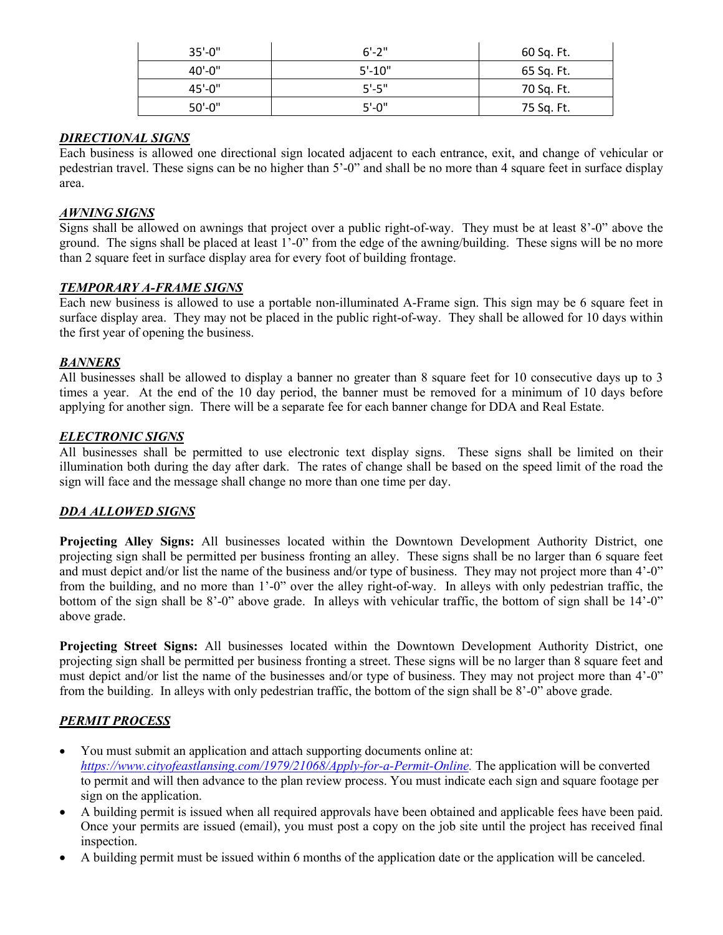| $35' - 0''$ | $6' - 2''$    | 60 Sq. Ft. |
|-------------|---------------|------------|
| $40' - 0''$ | $5' - 10''$   | 65 Sq. Ft. |
| $45' - 0''$ | 5'-5"         | 70 Sq. Ft. |
| $50' - 0''$ | <b>.5'-0"</b> | 75 Sq. Ft. |

#### *DIRECTIONAL SIGNS*

Each business is allowed one directional sign located adjacent to each entrance, exit, and change of vehicular or pedestrian travel. These signs can be no higher than 5'-0" and shall be no more than 4 square feet in surface display area.

#### *AWNING SIGNS*

Signs shall be allowed on awnings that project over a public right-of-way. They must be at least 8'-0" above the ground. The signs shall be placed at least 1'-0" from the edge of the awning/building. These signs will be no more than 2 square feet in surface display area for every foot of building frontage.

## *TEMPORARY A-FRAME SIGNS*

Each new business is allowed to use a portable non-illuminated A-Frame sign. This sign may be 6 square feet in surface display area. They may not be placed in the public right-of-way. They shall be allowed for 10 days within the first year of opening the business.

#### *BANNERS*

All businesses shall be allowed to display a banner no greater than 8 square feet for 10 consecutive days up to 3 times a year. At the end of the 10 day period, the banner must be removed for a minimum of 10 days before applying for another sign. There will be a separate fee for each banner change for DDA and Real Estate.

#### *ELECTRONIC SIGNS*

All businesses shall be permitted to use electronic text display signs. These signs shall be limited on their illumination both during the day after dark. The rates of change shall be based on the speed limit of the road the sign will face and the message shall change no more than one time per day.

#### *DDA ALLOWED SIGNS*

**Projecting Alley Signs:** All businesses located within the Downtown Development Authority District, one projecting sign shall be permitted per business fronting an alley. These signs shall be no larger than 6 square feet and must depict and/or list the name of the business and/or type of business. They may not project more than 4'-0" from the building, and no more than 1'-0" over the alley right-of-way. In alleys with only pedestrian traffic, the bottom of the sign shall be 8'-0" above grade. In alleys with vehicular traffic, the bottom of sign shall be 14'-0" above grade.

**Projecting Street Signs:** All businesses located within the Downtown Development Authority District, one projecting sign shall be permitted per business fronting a street. These signs will be no larger than 8 square feet and must depict and/or list the name of the businesses and/or type of business. They may not project more than 4'-0" from the building. In alleys with only pedestrian traffic, the bottom of the sign shall be 8'-0" above grade.

## *PERMIT PROCESS*

- You must submit an application and attach supporting documents online at: *[https://www.cityofeastlansing.com/1979/21068/Apply-for-a-Permit-Online.](https://www.cityofeastlansing.com/1979/21068/Apply-for-a-Permit-Online)* The application will be converted to permit and will then advance to the plan review process. You must indicate each sign and square footage per sign on the application.
- A building permit is issued when all required approvals have been obtained and applicable fees have been paid. Once your permits are issued (email), you must post a copy on the job site until the project has received final inspection.
- A building permit must be issued within 6 months of the application date or the application will be canceled.